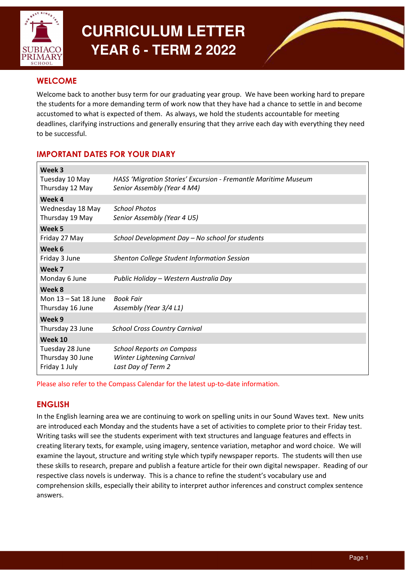

# **CURRICULUM LETTER YEAR 6 - TERM 2 2022**

# **WELCOME**

Welcome back to another busy term for our graduating year group. We have been working hard to prepare the students for a more demanding term of work now that they have had a chance to settle in and become accustomed to what is expected of them. As always, we hold the students accountable for meeting deadlines, clarifying instructions and generally ensuring that they arrive each day with everything they need to be successful.

# IMPORTANT DATES FOR YOUR DIARY

| Week 3                 |                                                                |
|------------------------|----------------------------------------------------------------|
| Tuesday 10 May         | HASS 'Migration Stories' Excursion - Fremantle Maritime Museum |
| Thursday 12 May        | Senior Assembly (Year 4 M4)                                    |
| Week 4                 |                                                                |
| Wednesday 18 May       | <b>School Photos</b>                                           |
| Thursday 19 May        | Senior Assembly (Year 4 U5)                                    |
| Week 5                 |                                                                |
| Friday 27 May          | School Development Day - No school for students                |
| Week 6                 |                                                                |
| Friday 3 June          | <b>Shenton College Student Information Session</b>             |
| Week 7                 |                                                                |
| Monday 6 June          | Public Holiday - Western Australia Day                         |
| Week 8                 |                                                                |
| Mon $13 - Sat$ 18 June | <b>Book Fair</b>                                               |
| Thursday 16 June       | Assembly (Year 3/4 L1)                                         |
| Week 9                 |                                                                |
| Thursday 23 June       | <b>School Cross Country Carnival</b>                           |
| Week 10                |                                                                |
| Tuesday 28 June        | <b>School Reports on Compass</b>                               |
| Thursday 30 June       | Winter Lightening Carnival                                     |
| Friday 1 July          | Last Day of Term 2                                             |

Please also refer to the Compass Calendar for the latest up-to-date information.

# ENGLISH

In the English learning area we are continuing to work on spelling units in our Sound Waves text. New units are introduced each Monday and the students have a set of activities to complete prior to their Friday test. Writing tasks will see the students experiment with text structures and language features and effects in creating literary texts, for example, using imagery, sentence variation, metaphor and word choice. We will examine the layout, structure and writing style which typify newspaper reports. The students will then use these skills to research, prepare and publish a feature article for their own digital newspaper. Reading of our respective class novels is underway. This is a chance to refine the student's vocabulary use and comprehension skills, especially their ability to interpret author inferences and construct complex sentence answers.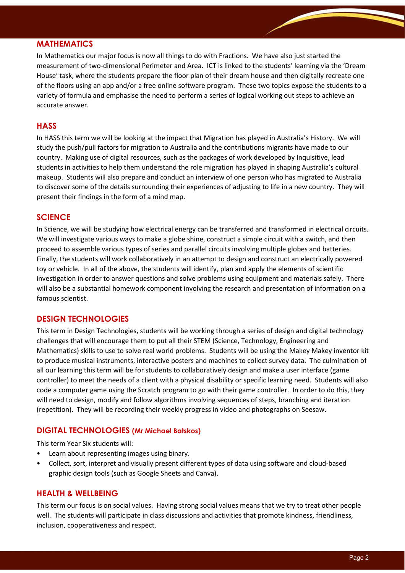## MATHEMATICS

In Mathematics our major focus is now all things to do with Fractions. We have also just started the measurement of two-dimensional Perimeter and Area. ICT is linked to the students' learning via the 'Dream House' task, where the students prepare the floor plan of their dream house and then digitally recreate one of the floors using an app and/or a free online software program. These two topics expose the students to a variety of formula and emphasise the need to perform a series of logical working out steps to achieve an accurate answer.

## **HASS**

In HASS this term we will be looking at the impact that Migration has played in Australia's History. We will study the push/pull factors for migration to Australia and the contributions migrants have made to our country. Making use of digital resources, such as the packages of work developed by Inquisitive, lead students in activities to help them understand the role migration has played in shaping Australia's cultural makeup. Students will also prepare and conduct an interview of one person who has migrated to Australia to discover some of the details surrounding their experiences of adjusting to life in a new country. They will present their findings in the form of a mind map.

### **SCIENCE**

In Science, we will be studying how electrical energy can be transferred and transformed in electrical circuits. We will investigate various ways to make a globe shine, construct a simple circuit with a switch, and then proceed to assemble various types of series and parallel circuits involving multiple globes and batteries. Finally, the students will work collaboratively in an attempt to design and construct an electrically powered toy or vehicle. In all of the above, the students will identify, plan and apply the elements of scientific investigation in order to answer questions and solve problems using equipment and materials safely. There will also be a substantial homework component involving the research and presentation of information on a famous scientist.

#### DESIGN TECHNOLOGIES

This term in Design Technologies, students will be working through a series of design and digital technology challenges that will encourage them to put all their STEM (Science, Technology, Engineering and Mathematics) skills to use to solve real world problems. Students will be using the Makey Makey inventor kit to produce musical instruments, interactive posters and machines to collect survey data. The culmination of all our learning this term will be for students to collaboratively design and make a user interface (game controller) to meet the needs of a client with a physical disability or specific learning need. Students will also code a computer game using the Scratch program to go with their game controller. In order to do this, they will need to design, modify and follow algorithms involving sequences of steps, branching and iteration (repetition). They will be recording their weekly progress in video and photographs on Seesaw.

#### DIGITAL TECHNOLOGIES (Mr Michael Batskos)

This term Year Six students will:

- Learn about representing images using binary.
- Collect, sort, interpret and visually present different types of data using software and cloud-based graphic design tools (such as Google Sheets and Canva).

#### HEALTH & WELLBEING

This term our focus is on social values. Having strong social values means that we try to treat other people well. The students will participate in class discussions and activities that promote kindness, friendliness, inclusion, cooperativeness and respect.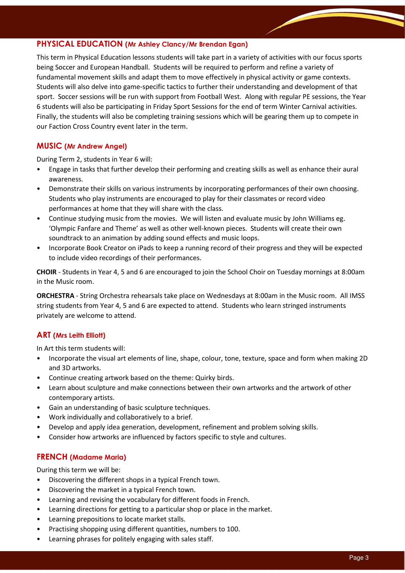### PHYSICAL EDUCATION (Mr Ashley Clancy/Mr Brendan Egan)

This term in Physical Education lessons students will take part in a variety of activities with our focus sports being Soccer and European Handball. Students will be required to perform and refine a variety of fundamental movement skills and adapt them to move effectively in physical activity or game contexts. Students will also delve into game-specific tactics to further their understanding and development of that sport. Soccer sessions will be run with support from Football West. Along with regular PE sessions, the Year 6 students will also be participating in Friday Sport Sessions for the end of term Winter Carnival activities. Finally, the students will also be completing training sessions which will be gearing them up to compete in our Faction Cross Country event later in the term.

## MUSIC (Mr Andrew Angel)

During Term 2, students in Year 6 will:

- Engage in tasks that further develop their performing and creating skills as well as enhance their aural awareness.
- Demonstrate their skills on various instruments by incorporating performances of their own choosing. Students who play instruments are encouraged to play for their classmates or record video performances at home that they will share with the class.
- Continue studying music from the movies. We will listen and evaluate music by John Williams eg. 'Olympic Fanfare and Theme' as well as other well-known pieces. Students will create their own soundtrack to an animation by adding sound effects and music loops.
- Incorporate Book Creator on iPads to keep a running record of their progress and they will be expected to include video recordings of their performances.

CHOIR - Students in Year 4, 5 and 6 are encouraged to join the School Choir on Tuesday mornings at 8:00am in the Music room.

ORCHESTRA - String Orchestra rehearsals take place on Wednesdays at 8:00am in the Music room. All IMSS string students from Year 4, 5 and 6 are expected to attend. Students who learn stringed instruments privately are welcome to attend.

#### ART (Mrs Leith Elliott)

In Art this term students will:

- Incorporate the visual art elements of line, shape, colour, tone, texture, space and form when making 2D and 3D artworks.
- Continue creating artwork based on the theme: Quirky birds.
- Learn about sculpture and make connections between their own artworks and the artwork of other contemporary artists.
- Gain an understanding of basic sculpture techniques.
- Work individually and collaboratively to a brief.
- Develop and apply idea generation, development, refinement and problem solving skills.
- Consider how artworks are influenced by factors specific to style and cultures.

#### FRENCH (Madame Maria)

During this term we will be:

- Discovering the different shops in a typical French town.
- Discovering the market in a typical French town.
- Learning and revising the vocabulary for different foods in French.
- Learning directions for getting to a particular shop or place in the market.
- Learning prepositions to locate market stalls.
- Practising shopping using different quantities, numbers to 100.
- Learning phrases for politely engaging with sales staff.